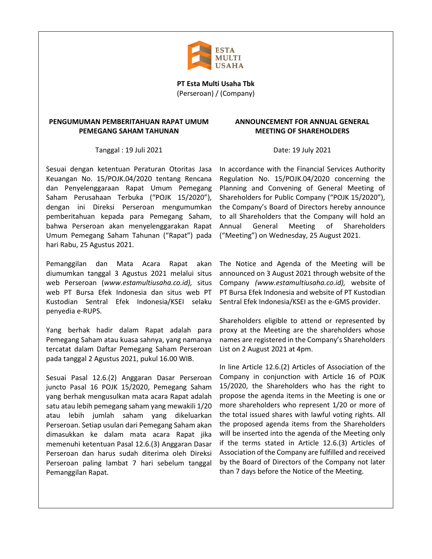

**PT Esta Multi Usaha Tbk** (Perseroan) / (Company)

## **PENGUMUMAN PEMBERITAHUAN RAPAT UMUM PEMEGANG SAHAM TAHUNAN**

Tanggal : 19 Juli 2021

Sesuai dengan ketentuan Peraturan Otoritas Jasa Keuangan No. 15/POJK.04/2020 tentang Rencana dan Penyelenggaraan Rapat Umum Pemegang Saham Perusahaan Terbuka ("POJK 15/2020"), dengan ini Direksi Perseroan mengumumkan pemberitahuan kepada para Pemegang Saham, bahwa Perseroan akan menyelenggarakan Rapat Umum Pemegang Saham Tahunan ("Rapat") pada hari Rabu, 25 Agustus 2021.

Pemanggilan dan Mata Acara Rapat akan diumumkan tanggal 3 Agustus 2021 melalui situs web Perseroan (*www.estamultiusaha.co.id),* situs web PT Bursa Efek Indonesia dan situs web PT Kustodian Sentral Efek Indonesia/KSEI selaku penyedia e-RUPS.

Yang berhak hadir dalam Rapat adalah para Pemegang Saham atau kuasa sahnya, yang namanya tercatat dalam Daftar Pemegang Saham Perseroan pada tanggal 2 Agustus 2021, pukul 16.00 WIB.

Sesuai Pasal 12.6.(2) Anggaran Dasar Perseroan juncto Pasal 16 POJK 15/2020, Pemegang Saham yang berhak mengusulkan mata acara Rapat adalah satu atau lebih pemegang saham yang mewakili 1/20 atau lebih jumlah saham yang dikeluarkan Perseroan. Setiap usulan dari Pemegang Saham akan dimasukkan ke dalam mata acara Rapat jika memenuhi ketentuan Pasal 12.6.(3) Anggaran Dasar Perseroan dan harus sudah diterima oleh Direksi Perseroan paling lambat 7 hari sebelum tanggal Pemanggilan Rapat.

## **ANNOUNCEMENT FOR ANNUAL GENERAL MEETING OF SHAREHOLDERS**

Date: 19 July 2021

In accordance with the Financial Services Authority Regulation No. 15/POJK.04/2020 concerning the Planning and Convening of General Meeting of Shareholders for Public Company ("POJK 15/2020"), the Company's Board of Directors hereby announce to all Shareholders that the Company will hold an Annual General Meeting of Shareholders ("Meeting") on Wednesday, 25 August 2021.

The Notice and Agenda of the Meeting will be announced on 3 August 2021 through website of the Company *(www.estamultiusaha.co.id),* website of PT Bursa Efek Indonesia and website of PT Kustodian Sentral Efek Indonesia/KSEI as the e-GMS provider.

Shareholders eligible to attend or represented by proxy at the Meeting are the shareholders whose names are registered in the Company's Shareholders List on 2 August 2021 at 4pm.

In line Article 12.6.(2) Articles of Association of the Company in conjunction with Article 16 of POJK 15/2020, the Shareholders who has the right to propose the agenda items in the Meeting is one or more shareholders who represent 1/20 or more of the total issued shares with lawful voting rights. All the proposed agenda items from the Shareholders will be inserted into the agenda of the Meeting only if the terms stated in Article 12.6.(3) Articles of Association of the Company are fulfilled and received by the Board of Directors of the Company not later than 7 days before the Notice of the Meeting.